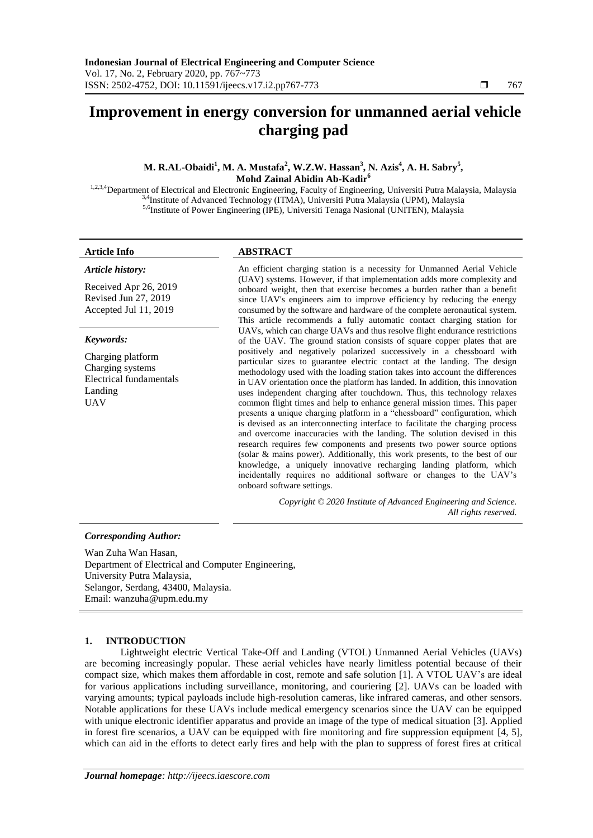# **Improvement in energy conversion for unmanned aerial vehicle charging pad**

**M. R.AL-Obaidi<sup>1</sup> , M. A. Mustafa<sup>2</sup> , W.Z.W. Hassan<sup>3</sup> , N. Azis<sup>4</sup> , A. H. Sabry<sup>5</sup> , Mohd Zainal Abidin Ab-Kadir<sup>6</sup>**

1,2,3,4 Department of Electrical and Electronic Engineering, Faculty of Engineering, Universiti Putra Malaysia, Malaysia 3,4Institute of Advanced Technology (ITMA), Universiti Putra Malaysia (UPM), Malaysia 5,6Institute of Power Engineering (IPE), Universiti Tenaga Nasional (UNITEN), Malaysia

*Article history:*

# **Article Info ABSTRACT**

Received Apr 26, 2019 Revised Jun 27, 2019 Accepted Jul 11, 2019

### *Keywords:*

Charging platform Charging systems Electrical fundamentals Landing UAV

An efficient charging station is a necessity for Unmanned Aerial Vehicle (UAV) systems. However, if that implementation adds more complexity and onboard weight, then that exercise becomes a burden rather than a benefit since UAV's engineers aim to improve efficiency by reducing the energy consumed by the software and hardware of the complete aeronautical system. This article recommends a fully automatic contact charging station for UAVs, which can charge UAVs and thus resolve flight endurance restrictions of the UAV. The ground station consists of square copper plates that are positively and negatively polarized successively in a chessboard with particular sizes to guarantee electric contact at the landing. The design methodology used with the loading station takes into account the differences in UAV orientation once the platform has landed. In addition, this innovation uses independent charging after touchdown. Thus, this technology relaxes common flight times and help to enhance general mission times. This paper presents a unique charging platform in a "chessboard" configuration, which is devised as an interconnecting interface to facilitate the charging process and overcome inaccuracies with the landing. The solution devised in this research requires few components and presents two power source options (solar & mains power). Additionally, this work presents, to the best of our knowledge, a uniquely innovative recharging landing platform, which incidentally requires no additional software or changes to the UAV's onboard software settings.

> *Copyright © 2020 Institute of Advanced Engineering and Science. All rights reserved.*

### *Corresponding Author:*

Wan Zuha Wan Hasan, Department of Electrical and Computer Engineering, University Putra Malaysia, Selangor, Serdang, 43400, Malaysia. Email: wanzuha@upm.edu.my

# **1. INTRODUCTION**

Lightweight electric Vertical Take-Off and Landing (VTOL) Unmanned Aerial Vehicles (UAVs) are becoming increasingly popular. These aerial vehicles have nearly limitless potential because of their compact size, which makes them affordable in cost, remote and safe solution [1]. A VTOL UAV's are ideal for various applications including surveillance, monitoring, and couriering [2]. UAVs can be loaded with varying amounts; typical payloads include high-resolution cameras, like infrared cameras, and other sensors. Notable applications for these UAVs include medical emergency scenarios since the UAV can be equipped with unique electronic identifier apparatus and provide an image of the type of medical situation [3]. Applied in forest fire scenarios, a UAV can be equipped with fire monitoring and fire suppression equipment [4, 5], which can aid in the efforts to detect early fires and help with the plan to suppress of forest fires at critical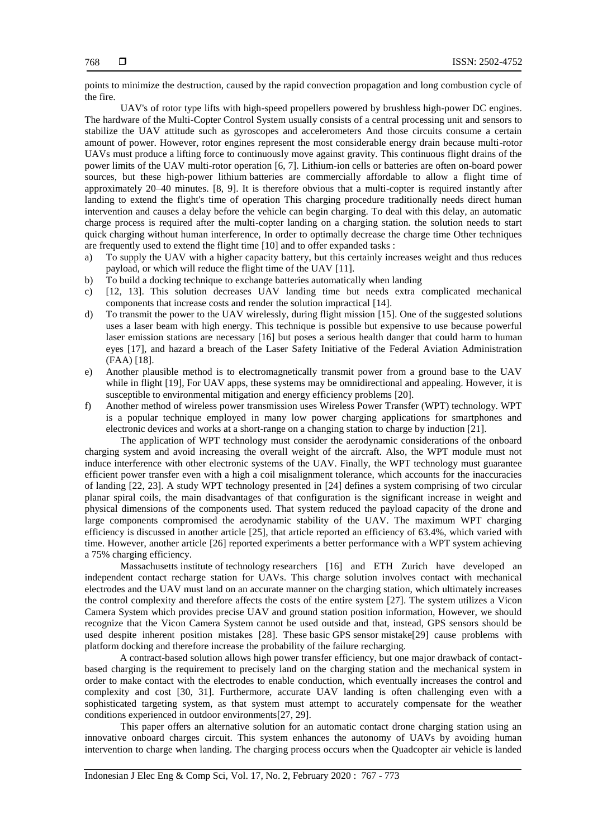points to minimize the destruction, caused by the rapid convection propagation and long combustion cycle of the fire.

UAV's of rotor type lifts with high-speed propellers powered by brushless high-power DC engines. The hardware of the Multi-Copter Control System usually consists of a central processing unit and sensors to stabilize the UAV attitude such as gyroscopes and accelerometers And those circuits consume a certain amount of power. However, rotor engines represent the most considerable energy drain because multi-rotor UAVs must produce a lifting force to continuously move against gravity. This continuous flight drains of the power limits of the UAV multi-rotor operation [6, 7]. Lithium-ion cells or batteries are often on-board power sources, but these high-power lithium batteries are commercially affordable to allow a flight time of approximately 20–40 minutes. [8, 9]. It is therefore obvious that a multi-copter is required instantly after landing to extend the flight's time of operation This charging procedure traditionally needs direct human intervention and causes a delay before the vehicle can begin charging. To deal with this delay, an automatic charge process is required after the multi-copter landing on a charging station. the solution needs to start quick charging without human interference, In order to optimally decrease the charge time Other techniques are frequently used to extend the flight time [10] and to offer expanded tasks :

- a) To supply the UAV with a higher capacity battery, but this certainly increases weight and thus reduces payload, or which will reduce the flight time of the UAV [11].
- b) To build a docking technique to exchange batteries automatically when landing
- c) [12, 13]. This solution decreases UAV landing time but needs extra complicated mechanical components that increase costs and render the solution impractical [14].
- d) To transmit the power to the UAV wirelessly, during flight mission [15]. One of the suggested solutions uses a laser beam with high energy. This technique is possible but expensive to use because powerful laser emission stations are necessary [16] but poses a serious health danger that could harm to human eyes [17], and hazard a breach of the Laser Safety Initiative of the Federal Aviation Administration (FAA) [18].
- e) Another plausible method is to electromagnetically transmit power from a ground base to the UAV while in flight [19], For UAV apps, these systems may be omnidirectional and appealing. However, it is susceptible to environmental mitigation and energy efficiency problems [20].
- f) Another method of wireless power transmission uses Wireless Power Transfer (WPT) technology. WPT is a popular technique employed in many low power charging applications for smartphones and electronic devices and works at a short-range on a changing station to charge by induction [21].

The application of WPT technology must consider the aerodynamic considerations of the onboard charging system and avoid increasing the overall weight of the aircraft. Also, the WPT module must not induce interference with other electronic systems of the UAV. Finally, the WPT technology must guarantee efficient power transfer even with a high a coil misalignment tolerance, which accounts for the inaccuracies of landing [22, 23]. A study WPT technology presented in [24] defines a system comprising of two circular planar spiral coils, the main disadvantages of that configuration is the significant increase in weight and physical dimensions of the components used. That system reduced the payload capacity of the drone and large components compromised the aerodynamic stability of the UAV. The maximum WPT charging efficiency is discussed in another article [25], that article reported an efficiency of 63.4%, which varied with time. However, another article [26] reported experiments a better performance with a WPT system achieving a 75% charging efficiency.

Massachusetts institute of technology researchers [16] and ETH Zurich have developed an independent contact recharge station for UAVs. This charge solution involves contact with mechanical electrodes and the UAV must land on an accurate manner on the charging station, which ultimately increases the control complexity and therefore affects the costs of the entire system [27]. The system utilizes a Vicon Camera System which provides precise UAV and ground station position information, However, we should recognize that the Vicon Camera System cannot be used outside and that, instead, GPS sensors should be used despite inherent position mistakes [28]. These basic GPS sensor mistake[29] cause problems with platform docking and therefore increase the probability of the failure recharging.

A contract-based solution allows high power transfer efficiency, but one major drawback of contactbased charging is the requirement to precisely land on the charging station and the mechanical system in order to make contact with the electrodes to enable conduction, which eventually increases the control and complexity and cost [30, 31]. Furthermore, accurate UAV landing is often challenging even with a sophisticated targeting system, as that system must attempt to accurately compensate for the weather conditions experienced in outdoor environments[27, 29].

This paper offers an alternative solution for an automatic contact drone charging station using an innovative onboard charges circuit. This system enhances the autonomy of UAVs by avoiding human intervention to charge when landing. The charging process occurs when the Quadcopter air vehicle is landed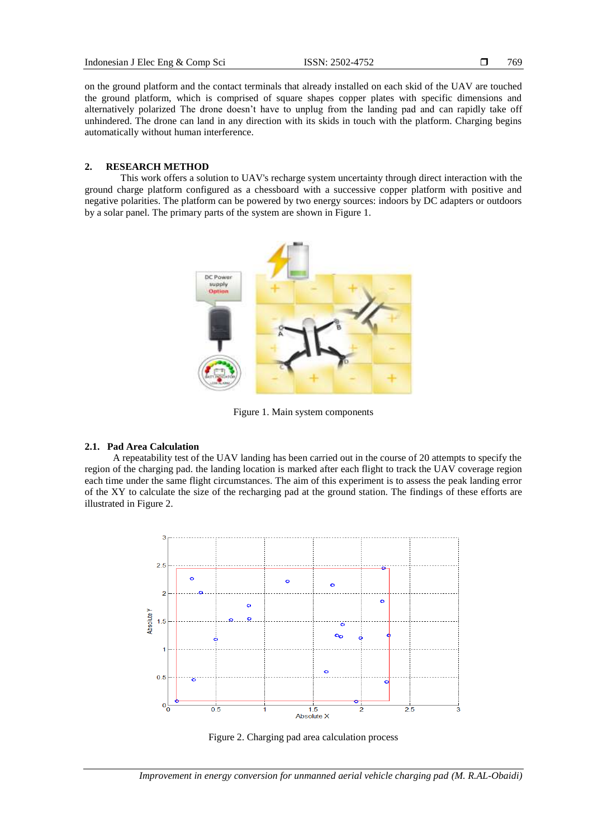769

on the ground platform and the contact terminals that already installed on each skid of the UAV are touched the ground platform, which is comprised of square shapes copper plates with specific dimensions and alternatively polarized The drone doesn't have to unplug from the landing pad and can rapidly take off unhindered. The drone can land in any direction with its skids in touch with the platform. Charging begins automatically without human interference.

#### **2. RESEARCH METHOD**

This work offers a solution to UAV's recharge system uncertainty through direct interaction with the ground charge platform configured as a chessboard with a successive copper platform with positive and negative polarities. The platform can be powered by two energy sources: indoors by DC adapters or outdoors by a solar panel. The primary parts of the system are shown in Figure 1.



Figure 1. Main system components

#### **2.1. Pad Area Calculation**

A repeatability test of the UAV landing has been carried out in the course of 20 attempts to specify the region of the charging pad. the landing location is marked after each flight to track the UAV coverage region each time under the same flight circumstances. The aim of this experiment is to assess the peak landing error of the XY to calculate the size of the recharging pad at the ground station. The findings of these efforts are illustrated in Figure 2.



Figure 2. Charging pad area calculation process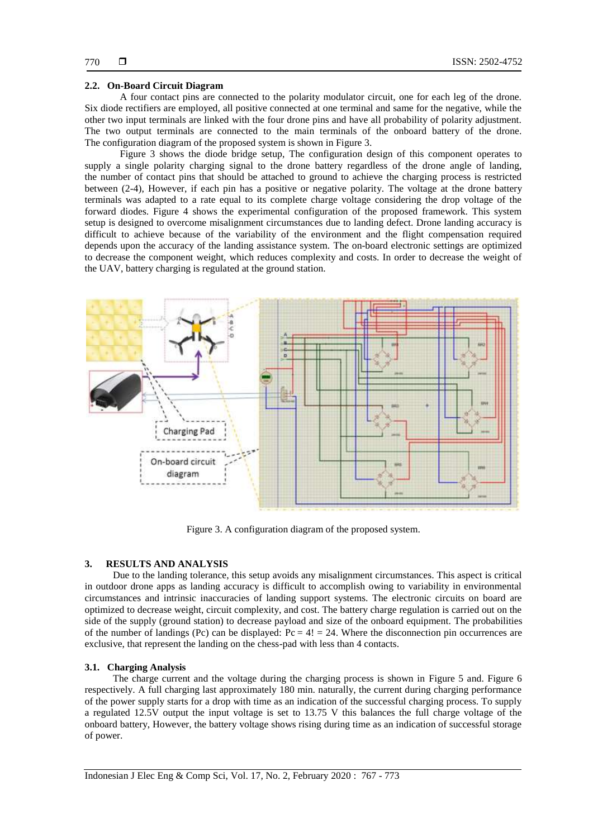#### **2.2. On-Board Circuit Diagram**

A four contact pins are connected to the polarity modulator circuit, one for each leg of the drone. Six diode rectifiers are employed, all positive connected at one terminal and same for the negative, while the other two input terminals are linked with the four drone pins and have all probability of polarity adjustment. The two output terminals are connected to the main terminals of the onboard battery of the drone. The configuration diagram of the proposed system is shown in Figure 3.

Figure 3 shows the diode bridge setup, The configuration design of this component operates to supply a single polarity charging signal to the drone battery regardless of the drone angle of landing, the number of contact pins that should be attached to ground to achieve the charging process is restricted between (2-4), However, if each pin has a positive or negative polarity. The voltage at the drone battery terminals was adapted to a rate equal to its complete charge voltage considering the drop voltage of the forward diodes. Figure 4 shows the experimental configuration of the proposed framework. This system setup is designed to overcome misalignment circumstances due to landing defect. Drone landing accuracy is difficult to achieve because of the variability of the environment and the flight compensation required depends upon the accuracy of the landing assistance system. The on-board electronic settings are optimized to decrease the component weight, which reduces complexity and costs. In order to decrease the weight of the UAV, battery charging is regulated at the ground station.



Figure 3. A configuration diagram of the proposed system.

# **3. RESULTS AND ANALYSIS**

Due to the landing tolerance, this setup avoids any misalignment circumstances. This aspect is critical in outdoor drone apps as landing accuracy is difficult to accomplish owing to variability in environmental circumstances and intrinsic inaccuracies of landing support systems. The electronic circuits on board are optimized to decrease weight, circuit complexity, and cost. The battery charge regulation is carried out on the side of the supply (ground station) to decrease payload and size of the onboard equipment. The probabilities of the number of landings (Pc) can be displayed:  $Pc = 4! = 24$ . Where the disconnection pin occurrences are exclusive, that represent the landing on the chess-pad with less than 4 contacts.

#### **3.1. Charging Analysis**

The charge current and the voltage during the charging process is shown in Figure 5 and. Figure 6 respectively. A full charging last approximately 180 min. naturally, the current during charging performance of the power supply starts for a drop with time as an indication of the successful charging process. To supply a regulated 12.5V output the input voltage is set to 13.75 V this balances the full charge voltage of the onboard battery, However, the battery voltage shows rising during time as an indication of successful storage of power.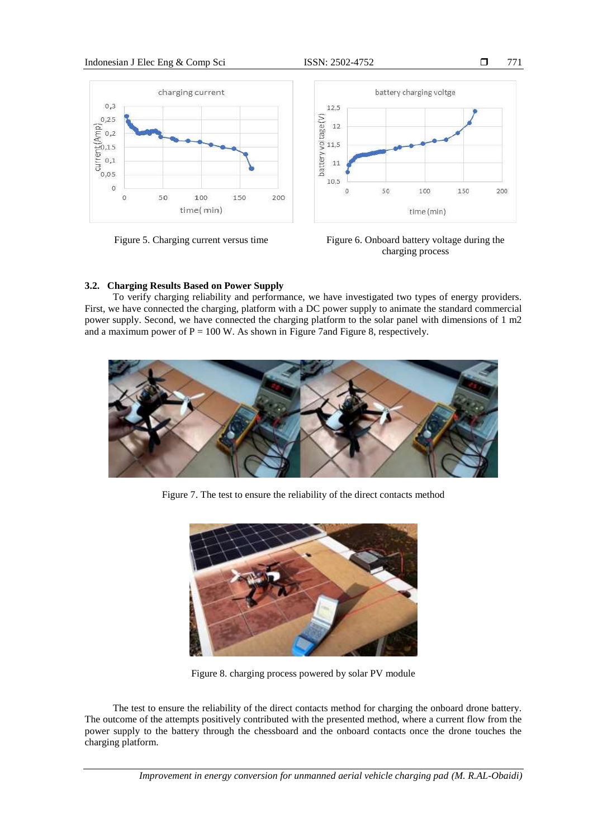# Indonesian J Elec Eng & Comp Sci ISSN: 2502-4752 □







Figure 5. Charging current versus time Figure 6. Onboard battery voltage during the charging process

# **3.2. Charging Results Based on Power Supply**

To verify charging reliability and performance, we have investigated two types of energy providers. First, we have connected the charging, platform with a DC power supply to animate the standard commercial power supply. Second, we have connected the charging platform to the solar panel with dimensions of 1 m2 and a maximum power of  $P = 100$  W. As shown in Figure 7 and Figure 8, respectively.



Figure 7. The test to ensure the reliability of the direct contacts method



Figure 8. charging process powered by solar PV module

The test to ensure the reliability of the direct contacts method for charging the onboard drone battery. The outcome of the attempts positively contributed with the presented method, where a current flow from the power supply to the battery through the chessboard and the onboard contacts once the drone touches the charging platform.

*Improvement in energy conversion for unmanned aerial vehicle charging pad (M. R.AL-Obaidi)*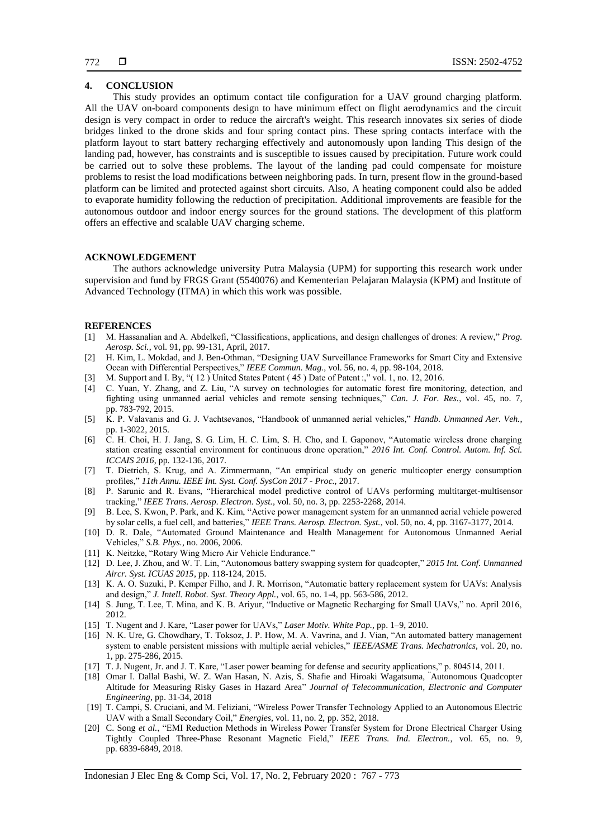### **4. CONCLUSION**

This study provides an optimum contact tile configuration for a UAV ground charging platform. All the UAV on-board components design to have minimum effect on flight aerodynamics and the circuit design is very compact in order to reduce the aircraft's weight. This research innovates six series of diode bridges linked to the drone skids and four spring contact pins. These spring contacts interface with the platform layout to start battery recharging effectively and autonomously upon landing This design of the landing pad, however, has constraints and is susceptible to issues caused by precipitation. Future work could be carried out to solve these problems. The layout of the landing pad could compensate for moisture problems to resist the load modifications between neighboring pads. In turn, present flow in the ground-based platform can be limited and protected against short circuits. Also, A heating component could also be added to evaporate humidity following the reduction of precipitation. Additional improvements are feasible for the autonomous outdoor and indoor energy sources for the ground stations. The development of this platform offers an effective and scalable UAV charging scheme.

# **ACKNOWLEDGEMENT**

The authors acknowledge university Putra Malaysia (UPM) for supporting this research work under supervision and fund by FRGS Grant (5540076) and Kementerian Pelajaran Malaysia (KPM) and Institute of Advanced Technology (ITMA) in which this work was possible.

#### **REFERENCES**

- [1] M. Hassanalian and A. Abdelkefi, "Classifications, applications, and design challenges of drones: A review," *Prog. Aerosp. Sci.*, vol. 91, pp. 99-131, April, 2017.
- [2] H. Kim, L. Mokdad, and J. Ben-Othman, "Designing UAV Surveillance Frameworks for Smart City and Extensive Ocean with Differential Perspectives," *IEEE Commun. Mag.*, vol. 56, no. 4, pp. 98-104, 2018.
- [3] M. Support and I. By, "( 12 ) United States Patent ( 45 ) Date of Patent :," vol. 1, no. 12, 2016.
- [4] C. Yuan, Y. Zhang, and Z. Liu, "A survey on technologies for automatic forest fire monitoring, detection, and fighting using unmanned aerial vehicles and remote sensing techniques," *Can. J. For. Res.*, vol. 45, no. 7, pp. 783-792, 2015.
- [5] K. P. Valavanis and G. J. Vachtsevanos, "Handbook of unmanned aerial vehicles," *Handb. Unmanned Aer. Veh.*, pp. 1-3022, 2015.
- [6] C. H. Choi, H. J. Jang, S. G. Lim, H. C. Lim, S. H. Cho, and I. Gaponov, "Automatic wireless drone charging station creating essential environment for continuous drone operation," *2016 Int. Conf. Control. Autom. Inf. Sci. ICCAIS 2016*, pp. 132-136, 2017.
- [7] T. Dietrich, S. Krug, and A. Zimmermann, "An empirical study on generic multicopter energy consumption profiles," *11th Annu. IEEE Int. Syst. Conf. SysCon 2017 - Proc.*, 2017.
- [8] P. Sarunic and R. Evans, "Hierarchical model predictive control of UAVs performing multitarget-multisensor tracking," *IEEE Trans. Aerosp. Electron. Syst.*, vol. 50, no. 3, pp. 2253-2268, 2014.
- [9] B. Lee, S. Kwon, P. Park, and K. Kim, "Active power management system for an unmanned aerial vehicle powered by solar cells, a fuel cell, and batteries," *IEEE Trans. Aerosp. Electron. Syst.*, vol. 50, no. 4, pp. 3167-3177, 2014.
- [10] D. R. Dale, "Automated Ground Maintenance and Health Management for Autonomous Unmanned Aerial Vehicles," *S.B. Phys.*, no. 2006, 2006.
- [11] K. Neitzke, "Rotary Wing Micro Air Vehicle Endurance."
- [12] D. Lee, J. Zhou, and W. T. Lin, "Autonomous battery swapping system for quadcopter," *2015 Int. Conf. Unmanned Aircr. Syst. ICUAS 2015*, pp. 118-124, 2015.
- [13] K. A. O. Suzuki, P. Kemper Filho, and J. R. Morrison, "Automatic battery replacement system for UAVs: Analysis and design," *J. Intell. Robot. Syst. Theory Appl.*, vol. 65, no. 1-4, pp. 563-586, 2012.
- [14] S. Jung, T. Lee, T. Mina, and K. B. Ariyur, "Inductive or Magnetic Recharging for Small UAVs," no. April 2016, 2012.
- [15] T. Nugent and J. Kare, "Laser power for UAVs," *Laser Motiv. White Pap.*, pp. 1–9, 2010.
- [16] N. K. Ure, G. Chowdhary, T. Toksoz, J. P. How, M. A. Vavrina, and J. Vian, "An automated battery management system to enable persistent missions with multiple aerial vehicles," *IEEE/ASME Trans. Mechatronics*, vol. 20, no. 1, pp. 275-286, 2015.
- [17] T. J. Nugent, Jr. and J. T. Kare, "Laser power beaming for defense and security applications," p. 804514, 2011.
- [18] Omar I. Dallal Bashi, W. Z. Wan Hasan, N. Azis, S. Shafie and Hiroaki Wagatsuma, "[Autonomous Quadcopter](https://www.edas.info/showPaper.php?m=1570374360)  [Altitude for Measuring Risky Gases in Hazard Area"](https://www.edas.info/showPaper.php?m=1570374360) *Journal of Telecommunication, Electronic and Computer Engineering*, pp. 31-34, 2018
- [19] T. Campi, S. Cruciani, and M. Feliziani, "Wireless Power Transfer Technology Applied to an Autonomous Electric UAV with a Small Secondary Coil," *Energies*, vol. 11, no. 2, pp. 352, 2018.
- [20] C. Song *et al.*, "EMI Reduction Methods in Wireless Power Transfer System for Drone Electrical Charger Using Tightly Coupled Three-Phase Resonant Magnetic Field," *IEEE Trans. Ind. Electron.*, vol. 65, no. 9, pp. 6839-6849, 2018.